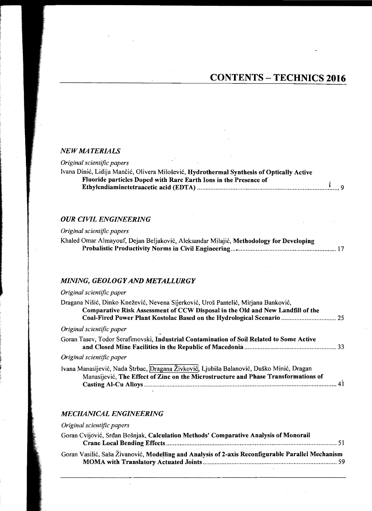### *NEW MATERIALS*

#### *Original scientific papers*

| Ivana Dinić, Lidija Mančić, Olivera Milošević, Hydrothermal Synthesis of Optically Active |  |
|-------------------------------------------------------------------------------------------|--|
| Fluoride particles Doped with Rare Earth Ions in the Presence of                          |  |
|                                                                                           |  |

# *OUR CIVIL ENGINEERING*

### *Original scientific papers*

|  | Khaled Omar Almayouf, Dejan Beljaković, Aleksandar Milajić, Methodology for Developing |  |  |  |
|--|----------------------------------------------------------------------------------------|--|--|--|
|  |                                                                                        |  |  |  |

### *MINING, GEOLOGY AND METALLURGY*

## *Original scientific paper*

| Dragana Nišić, Dinko Knežević, Nevena Sijerković, Uroš Pantelić, Mirjana Banković,                                                                                             |  |
|--------------------------------------------------------------------------------------------------------------------------------------------------------------------------------|--|
| Comparative Risk Assessment of CCW Disposal in the Old and New Landfill of the                                                                                                 |  |
| Coal-Fired Power Plant Kostolac Based on the Hydrological Scenario  25                                                                                                         |  |
| Original scientific paper                                                                                                                                                      |  |
| Goran Tasev, Todor Serafimovski, Industrial Contamination of Soil Related to Some Active                                                                                       |  |
| Original scientific paper                                                                                                                                                      |  |
| Ivana Manasijević, Nada Štrbac, Dragana Živković, Ljubiša Balanović, Duško Minić, Dragan<br>Manasijević, The Effect of Zinc on the Microstructure and Phase Transformations of |  |
|                                                                                                                                                                                |  |

### *MECHANICAL ENGINEERING*

### *Original scientific papers*

| Goran Cvijović, Srđan Bošnjak, Calculation Methods' Comparative Analysis of Monorail              |  |
|---------------------------------------------------------------------------------------------------|--|
|                                                                                                   |  |
| Goran Vasilić, Saša Živanović, Modelling and Analysis of 2-axis Reconfigurable Parallel Mechanism |  |